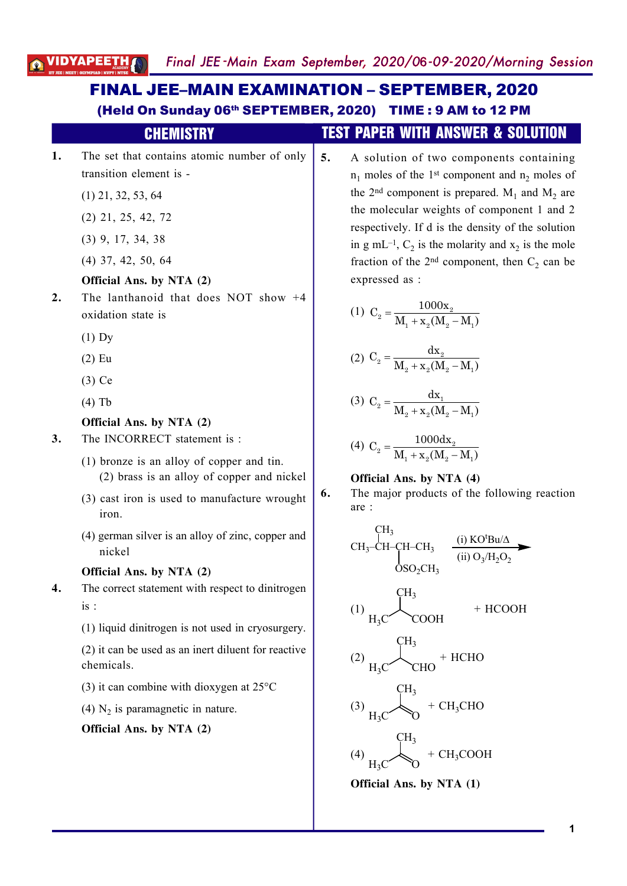VIDYAPEE

#### **1.** The set that contains atomic number of only transition element is - (1) 21, 32, 53, 64 (2) 21, 25, 42, 72 (3) 9, 17, 34, 38 (4) 37, 42, 50, 64 **Official Ans. by NTA (2) 2.** The lanthanoid that does NOT show +4 oxidation state is (1) Dy (2) Eu (3) Ce (4) Tb **Official Ans. by NTA (2) 3.** The INCORRECT statement is : (1) bronze is an alloy of copper and tin. (2) brass is an alloy of copper and nickel (3) cast iron is used to manufacture wrought iron. (4) german silver is an alloy of zinc, copper and nickel **Official Ans. by NTA (2) 4.** The correct statement with respect to dinitrogen is : (1) liquid dinitrogen is not used in cryosurgery. (2) it can be used as an inert diluent for reactive chemicals. (3) it can combine with dioxygen at 25°C (4)  $N_2$  is paramagnetic in nature. **Official Ans. by NTA (2)** (Held On Sunday 06th SEPTEMBER, 2020) TIME : 9 AM to 12 PM CHEMISTRY TEST PAPER WITH ANSWER & SOLUTION **5.** A solution of two components containing  $n_1$  moles of the 1<sup>st</sup> component and  $n_2$  moles of the 2<sup>nd</sup> component is prepared.  $M_1$  and  $M_2$  are the molecular weights of component 1 and 2 respectively. If d is the density of the solution in g mL<sup>-1</sup>,  $C_2$  is the molarity and  $x_2$  is the mole fraction of the 2<sup>nd</sup> component, then  $C_2$  can be expressed as : (1)  $C_2 = \frac{1000A_2}{M_1 + X_2(M_2 - M_1)}$  $C_2 = \frac{1000x}{15}$  $M_1 + x_2(M_2 - M_1)$ =  $+ x<sub>2</sub>(M<sub>2</sub> - 1)$ (2)  $C_2 = \frac{ax_2}{M}$ 2  $\mathbf{a}_2$   $\mathbf{a}_2$   $\mathbf{a}_2$   $\mathbf{a}_1$  $C_2 = \frac{dx}{dt}$  $M_{2} + X_{2}(M_{2} - M_{1})$ =  $+ x<sub>2</sub>(M<sub>2</sub> - 1)$ (3)  $C_2 = \frac{ax_1}{M}$ 2  $\mathbf{a}_2$   $\mathbf{a}_2$   $\mathbf{a}_2$   $\mathbf{a}_1$  $C_2 = \frac{dx}{dt}$  $M_{2} + X_{2}(M_{2} - M_{1})$ =  $+ x<sub>2</sub>(M<sub>2</sub> - 1)$  $(4)$  C<sub>2</sub> =  $+ x_2(M_2 -)$  $n_2 = \frac{10000a_2}{M}$  $1 + \mathbf{\Lambda}_2$  (11/12 11/1  $C_2 = \frac{1000dx}{\sqrt{15}}$  $M_1 + x_2(M_2 - M_1)$ **Official Ans. by NTA (4) 6.** The major products of the following reaction are : CH<sub>3</sub>-CH-CH-CH<sub>3</sub> CH<sup>3</sup>  $OSO<sub>2</sub>CH<sub>3</sub>$ (i)  $KO<sup>t</sup>Bu/\Delta$  $(ii) O<sub>3</sub>/H<sub>2</sub>O<sub>2</sub>$ (1)  $H_3C^{\prime}$  COOH CH<sup>3</sup> + HCOOH (2)  $H_3C^{\prime}$  CHO CH<sup>3</sup> + HCHO (3)  $H_3C^{\prime}$   $\sqrt[3]{0}$ CH<sup>3</sup>  $+$  CH<sub>3</sub>CHO (4)  $H_3C^{\sim}$   $\sqrt[3]{0}$ CH<sup>3</sup>  $+$  CH<sub>3</sub>COOH **Official Ans. by NTA (1)** FINAL JEE–MAIN EXAMINATION – SEPTEMBER, 2020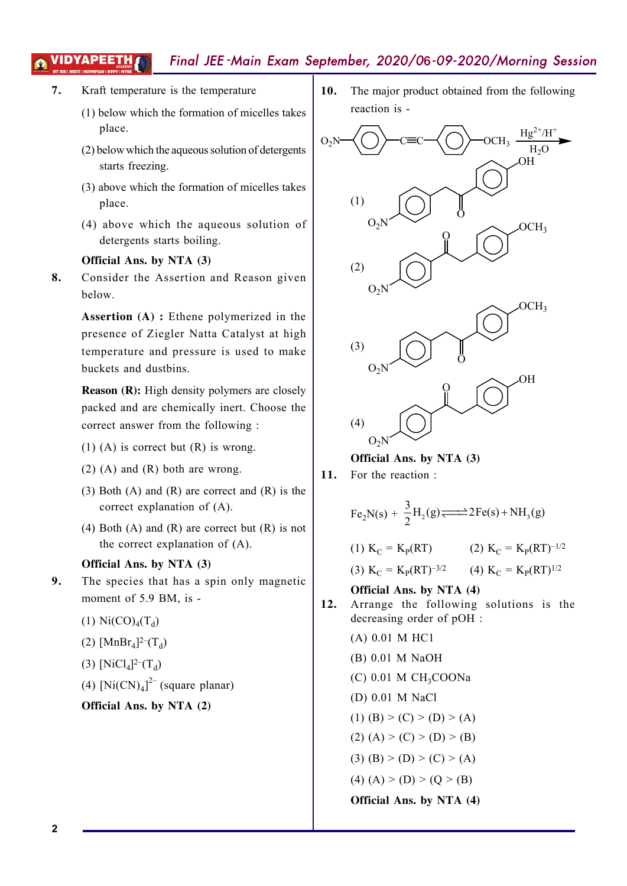# Final JEE -Main Exam September, 2020/06-09-2020/Morning Session

- **7.** Kraft temperature is the temperature
	- (1) below which the formation of micelles takes place.
	- (2) below which the aqueous solution of detergents starts freezing.
	- (3) above which the formation of micelles takes place.
	- (4) above which the aqueous solution of detergents starts boiling.

### **Official Ans. by NTA (3)**

**8.** Consider the Assertion and Reason given below.

> **Assertion (A) :** Ethene polymerized in the presence of Ziegler Natta Catalyst at high temperature and pressure is used to make buckets and dustbins.

> **Reason (R):** High density polymers are closely packed and are chemically inert. Choose the correct answer from the following :

- (1) (A) is correct but  $(R)$  is wrong.
- (2) (A) and (R) both are wrong.
- (3) Both (A) and  $(R)$  are correct and  $(R)$  is the correct explanation of (A).
- (4) Both (A) and (R) are correct but  $(R)$  is not the correct explanation of (A).

#### **Official Ans. by NTA (3)**

- **9.** The species that has a spin only magnetic moment of 5.9 BM, is -
	- (1)  $Ni(CO)_{4}(T_{d})$
	- (2) [ $MnBr_4$ ]<sup>2-</sup>(T<sub>d</sub>)
	- (3) [NiCl<sub>4</sub>]<sup>2-</sup>(T<sub>d</sub>)
	- (4)  $[Ni(CN)<sub>4</sub>]<sup>2–</sup>$  (square planar)
	- **Official Ans. by NTA (2)**

**10.** The major product obtained from the following reaction is -



**Official Ans. by NTA (3)**

**11.** For the reaction :

$$
Fe2N(s) + \frac{3}{2}H2(g) \longrightarrow 2Fe(s) + NH3(g)
$$

(1)  $K_C = K_P(RT)$  (2)  $K_C$  $= K_{P}(RT)^{-1/2}$ (3)  $K_C = K_P (RT)^{-3/2}$  (4)  $K_C = K_P (RT)^{1/2}$ 

# **Official Ans. by NTA (4)**

- **12.** Arrange the following solutions is the decreasing order of pOH :
	- (A) 0.01 M HC1 (B) 0.01 M NaOH  $(C)$  0.01 M CH<sub>3</sub>COONa (D) 0.01 M NaCl (1) (B) > (C) > (D) > (A) (2)  $(A)$  > (C) > (D) > (B)
	- (3) (B) > (D) > (C) > (A)
	- (4)  $(A) > (D) > (Q > (B)$
	-

**Official Ans. by NTA (4)**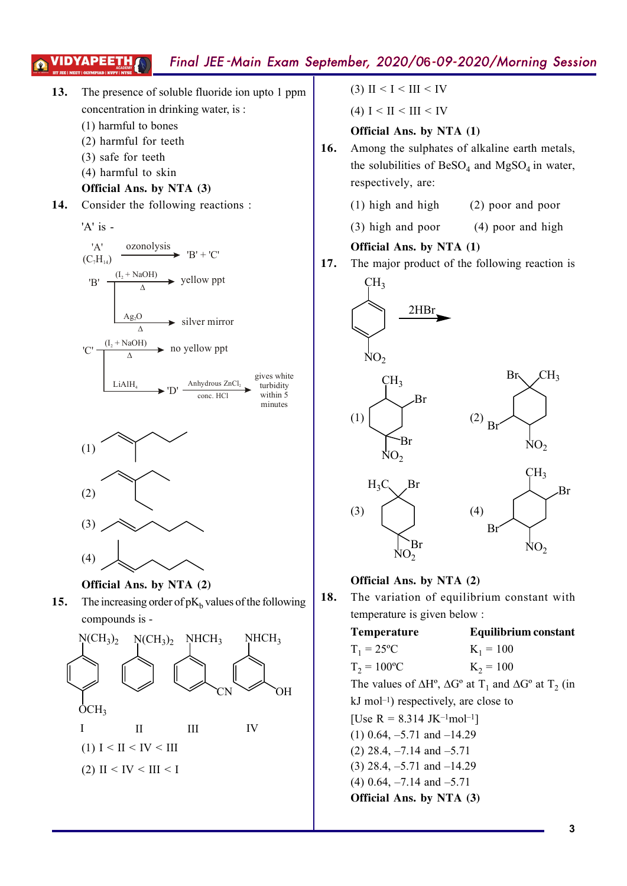# Final JEE -Main Exam September, 2020/06-09-2020/Morning SessionVIDYAPEETH



- (1)  $I < II < IV < III$
- (2) II < IV < III < I

(3) II < I < III < IV

(4)  $I < II < III < IV$ 

# **Official Ans. by NTA (1)**

- **16.** Among the sulphates of alkaline earth metals, the solubilities of  $\text{BeSO}_4$  and  $\text{MgSO}_4$  in water, respectively, are:
	- (1) high and high (2) poor and poor
	- $(3)$  high and poor  $(4)$  poor and high

# **Official Ans. by NTA (1)**

**17.** The major product of the following reaction is



# **Official Ans. by NTA (2)**

**18.** The variation of equilibrium constant with temperature is given below :

> **Temperature Equilibrium constant**  $T_1 = 25^{\circ}C$  K<sub>1</sub>  $K_1 = 100$  $T_2 = 100^{\circ}\text{C}$  K<sub>2</sub>  $K_2 = 100$ The values of  $\Delta H^{\circ}$ ,  $\Delta G^{\circ}$  at T<sub>1</sub> and  $\Delta G^{\circ}$  at T<sub>2</sub> (in kJ mol–1) respectively, are close to [Use R = 8.314 JK<sup>-1</sup>mol<sup>-1</sup>] (1) 0.64, –5.71 and –14.29 (2) 28.4, –7.14 and –5.71 (3) 28.4, –5.71 and –14.29 (4) 0.64, –7.14 and –5.71 **Official Ans. by NTA (3)**